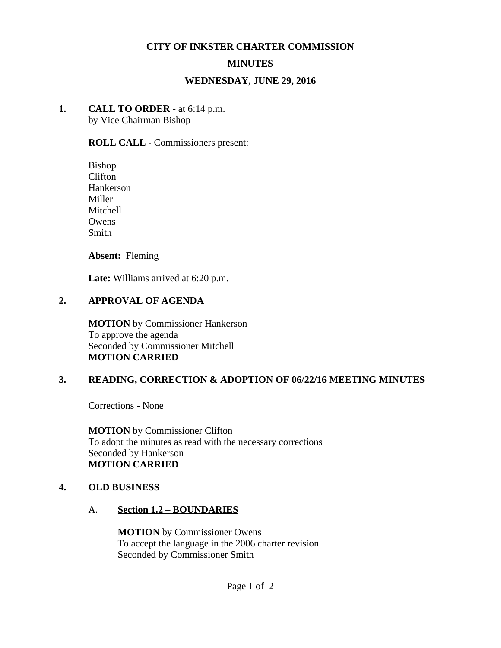### **CITY OF INKSTER CHARTER COMMISSION**

### **MINUTES**

#### **WEDNESDAY, JUNE 29, 2016**

# **1. CALL TO ORDER** - at 6:14 p.m.

by Vice Chairman Bishop

#### **ROLL CALL -** Commissioners present:

Bishop Clifton Hankerson Miller Mitchell **Owens** Smith

**Absent:** Fleming

**Late:** Williams arrived at 6:20 p.m.

#### **2. APPROVAL OF AGENDA**

**MOTION** by Commissioner Hankerson To approve the agenda Seconded by Commissioner Mitchell **MOTION CARRIED**

#### **3. READING, CORRECTION & ADOPTION OF 06/22/16 MEETING MINUTES**

Corrections - None

**MOTION** by Commissioner Clifton To adopt the minutes as read with the necessary corrections Seconded by Hankerson **MOTION CARRIED**

#### **4. OLD BUSINESS**

#### A. **Section 1.2 – BOUNDARIES**

**MOTION** by Commissioner Owens To accept the language in the 2006 charter revision Seconded by Commissioner Smith